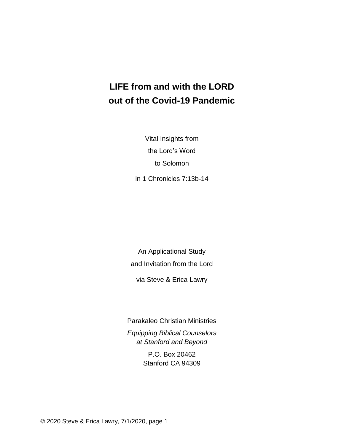# **LIFE from and with the LORD out of the Covid-19 Pandemic**

Vital Insights from the Lord's Word to Solomon

in 1 Chronicles 7:13b-14

An Applicational Study and Invitation from the Lord

via Steve & Erica Lawry

Parakaleo Christian Ministries *Equipping Biblical Counselors at Stanford and Beyond*

> P.O. Box 20462 Stanford CA 94309

© 2020 Steve & Erica Lawry, 7/1/2020, page 1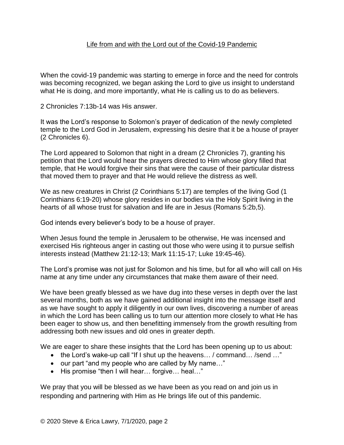#### Life from and with the Lord out of the Covid-19 Pandemic

When the covid-19 pandemic was starting to emerge in force and the need for controls was becoming recognized, we began asking the Lord to give us insight to understand what He is doing, and more importantly, what He is calling us to do as believers.

2 Chronicles 7:13b-14 was His answer.

It was the Lord's response to Solomon's prayer of dedication of the newly completed temple to the Lord God in Jerusalem, expressing his desire that it be a house of prayer (2 Chronicles 6).

The Lord appeared to Solomon that night in a dream (2 Chronicles 7), granting his petition that the Lord would hear the prayers directed to Him whose glory filled that temple, that He would forgive their sins that were the cause of their particular distress that moved them to prayer and that He would relieve the distress as well.

We as new creatures in Christ (2 Corinthians 5:17) are temples of the living God (1 Corinthians 6:19-20) whose glory resides in our bodies via the Holy Spirit living in the hearts of all whose trust for salvation and life are in Jesus (Romans 5:2b,5).

God intends every believer's body to be a house of prayer.

When Jesus found the temple in Jerusalem to be otherwise, He was incensed and exercised His righteous anger in casting out those who were using it to pursue selfish interests instead (Matthew 21:12-13; Mark 11:15-17; Luke 19:45-46).

The Lord's promise was not just for Solomon and his time, but for all who will call on His name at any time under any circumstances that make them aware of their need.

We have been greatly blessed as we have dug into these verses in depth over the last several months, both as we have gained additional insight into the message itself and as we have sought to apply it diligently in our own lives, discovering a number of areas in which the Lord has been calling us to turn our attention more closely to what He has been eager to show us, and then benefitting immensely from the growth resulting from addressing both new issues and old ones in greater depth.

We are eager to share these insights that the Lord has been opening up to us about:

- the Lord's wake-up call "If I shut up the heavens... / command... / send ..."
- our part "and my people who are called by My name..."
- His promise "then I will hear... forgive... heal..."

We pray that you will be blessed as we have been as you read on and join us in responding and partnering with Him as He brings life out of this pandemic.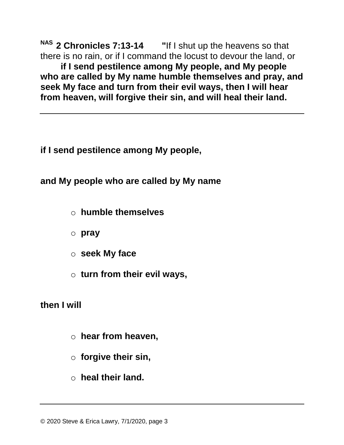**NAS 2 Chronicles 7:13-14 "**If I shut up the heavens so that there is no rain, or if I command the locust to devour the land, or **if I send pestilence among My people, and My people who are called by My name humble themselves and pray, and seek My face and turn from their evil ways, then I will hear from heaven, will forgive their sin, and will heal their land.**

**if I send pestilence among My people,** 

**and My people who are called by My name** 

- o **humble themselves**
- o **pray**
- o **seek My face**
- o **turn from their evil ways,**

**then I will** 

٦

- o **hear from heaven,**
- o **forgive their sin,**
- o **heal their land.**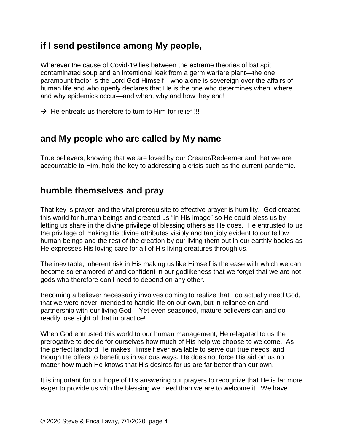# **if I send pestilence among My people,**

Wherever the cause of Covid-19 lies between the extreme theories of bat spit contaminated soup and an intentional leak from a germ warfare plant—the one paramount factor is the Lord God Himself—who alone is sovereign over the affairs of human life and who openly declares that He is the one who determines when, where and why epidemics occur—and when, why and how they end!

 $\rightarrow$  He entreats us therefore to turn to Him for relief !!!

### **and My people who are called by My name**

True believers, knowing that we are loved by our Creator/Redeemer and that we are accountable to Him, hold the key to addressing a crisis such as the current pandemic.

### **humble themselves and pray**

That key is prayer, and the vital prerequisite to effective prayer is humility. God created this world for human beings and created us "in His image" so He could bless us by letting us share in the divine privilege of blessing others as He does. He entrusted to us the privilege of making His divine attributes visibly and tangibly evident to our fellow human beings and the rest of the creation by our living them out in our earthly bodies as He expresses His loving care for all of His living creatures through us.

The inevitable, inherent risk in His making us like Himself is the ease with which we can become so enamored of and confident in our godlikeness that we forget that we are not gods who therefore don't need to depend on any other.

Becoming a believer necessarily involves coming to realize that I do actually need God, that we were never intended to handle life on our own, but in reliance on and partnership with our living God – Yet even seasoned, mature believers can and do readily lose sight of that in practice!

When God entrusted this world to our human management, He relegated to us the prerogative to decide for ourselves how much of His help we choose to welcome. As the perfect landlord He makes Himself ever available to serve our true needs, and though He offers to benefit us in various ways, He does not force His aid on us no matter how much He knows that His desires for us are far better than our own.

It is important for our hope of His answering our prayers to recognize that He is far more eager to provide us with the blessing we need than we are to welcome it. We have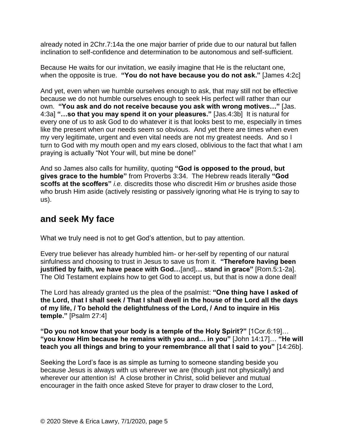already noted in 2Chr.7:14a the one major barrier of pride due to our natural but fallen inclination to self-confidence and determination to be autonomous and self-sufficient.

Because He waits for our invitation, we easily imagine that He is the reluctant one, when the opposite is true. **"You do not have because you do not ask."** [James 4:2c]

And yet, even when we humble ourselves enough to ask, that may still not be effective because we do not humble ourselves enough to seek His perfect will rather than our own. **"You ask and do not receive because you ask with wrong motives…"** [Jas. 4:3a] **"…so that you may spend it on your pleasures."** [Jas.4:3b] It is natural for every one of us to ask God to do whatever it is that looks best to me, especially in times like the present when our needs seem so obvious. And yet there are times when even my very legitimate, urgent and even vital needs are not my greatest needs. And so I turn to God with my mouth open and my ears closed, oblivious to the fact that what I am praying is actually "Not Your will, but mine be done!"

And so James also calls for humility, quoting **"God is opposed to the proud, but gives grace to the humble"** from Proverbs 3:34. The Hebrew reads literally **"God scoffs at the scoffers"** *i.e.* discredits those who discredit Him *or* brushes aside those who brush Him aside (actively resisting or passively ignoring what He is trying to say to us).

### **and seek My face**

What we truly need is not to get God's attention, but to pay attention.

Every true believer has already humbled him- or her-self by repenting of our natural sinfulness and choosing to trust in Jesus to save us from it. **"Therefore having been justified by faith, we have peace with God…**[and]**… stand in grace"** [Rom.5:1-2a]. The Old Testament explains how to get God to accept us, but that is now a done deal!

The Lord has already granted us the plea of the psalmist: **"One thing have I asked of the Lord, that I shall seek / That I shall dwell in the house of the Lord all the days of my life, / To behold the delightfulness of the Lord, / And to inquire in His temple."** [Psalm 27:4]

**"Do you not know that your body is a temple of the Holy Spirit?"** [1Cor.6:19]… **"you know Him because he remains with you and… in you"** [John 14:17]… **"He will teach you all things and bring to your remembrance all that I said to you"** [14:26b].

Seeking the Lord's face is as simple as turning to someone standing beside you because Jesus is always with us wherever we are (though just not physically) and wherever our attention is! A close brother in Christ, solid believer and mutual encourager in the faith once asked Steve for prayer to draw closer to the Lord,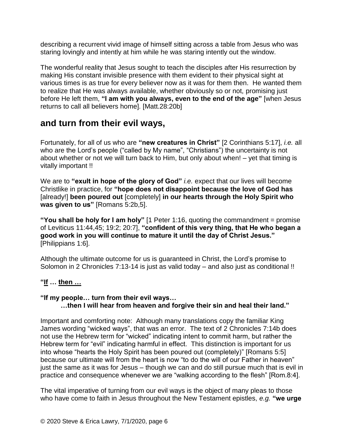describing a recurrent vivid image of himself sitting across a table from Jesus who was staring lovingly and intently at him while he was staring intently out the window.

The wonderful reality that Jesus sought to teach the disciples after His resurrection by making His constant invisible presence with them evident to their physical sight at various times is as true for every believer now as it was for them then. He wanted them to realize that He was always available, whether obviously so or not, promising just before He left them, **"I am with you always, even to the end of the age"** [when Jesus returns to call all believers home]. [Matt.28:20b]

# **and turn from their evil ways,**

Fortunately, for all of us who are **"new creatures in Christ"** [2 Corinthians 5:17], *i.e.* all who are the Lord's people ("called by My name", "Christians") the uncertainty is not about whether or not we will turn back to Him, but only about when! – yet that timing is vitally important !!

We are to **"exult in hope of the glory of God"** *i.e.* expect that our lives will become Christlike in practice, for **"hope does not disappoint because the love of God has**  [already!] **been poured out** [completely] **in our hearts through the Holy Spirit who was given to us"** [Romans 5:2b,5].

**"You shall be holy for I am holy"** [1 Peter 1:16, quoting the commandment = promise of Leviticus 11:44,45; 19:2; 20:7], **"confident of this very thing, that He who began a good work in you will continue to mature it until the day of Christ Jesus."** [Philippians 1:6].

Although the ultimate outcome for us is guaranteed in Christ, the Lord's promise to Solomon in 2 Chronicles 7:13-14 is just as valid today – and also just as conditional !!

### **"If … then …**

#### **"If my people… turn from their evil ways… …then I will hear from heaven and forgive their sin and heal their land."**

Important and comforting note: Although many translations copy the familiar King James wording "wicked ways", that was an error. The text of 2 Chronicles 7:14b does not use the Hebrew term for "wicked" indicating intent to commit harm, but rather the Hebrew term for "evil" indicating harmful in effect. This distinction is important for us into whose "hearts the Holy Spirit has been poured out (completely)" [Romans 5:5] because our ultimate will from the heart is now "to do the will of our Father in heaven" just the same as it was for Jesus – though we can and do still pursue much that is evil in practice and consequence whenever we are "walking according to the flesh" [Rom.8:4].

The vital imperative of turning from our evil ways is the object of many pleas to those who have come to faith in Jesus throughout the New Testament epistles, *e.g.* **"we urge**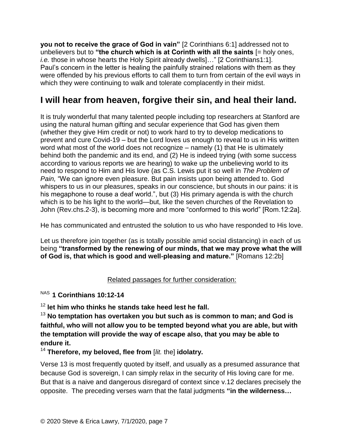**you not to receive the grace of God in vain"** [2 Corinthians 6:1] addressed not to unbelievers but to **"the church which is at Corinth with all the saints** [= holy ones, *i.e.* those in whose hearts the Holy Spirit already dwells]..." [2 Corinthians1:1]. Paul's concern in the letter is healing the painfully strained relations with them as they were offended by his previous efforts to call them to turn from certain of the evil ways in which they were continuing to walk and tolerate complacently in their midst.

# **I will hear from heaven, forgive their sin, and heal their land.**

It is truly wonderful that many talented people including top researchers at Stanford are using the natural human gifting and secular experience that God has given them (whether they give Him credit or not) to work hard to try to develop medications to prevent and cure Covid-19 – but the Lord loves us enough to reveal to us in His written word what most of the world does not recognize – namely (1) that He is ultimately behind both the pandemic and its end, and (2) He is indeed trying (with some success according to various reports we are hearing) to wake up the unbelieving world to its need to respond to Him and His love (as C.S. Lewis put it so well in *The Problem of Pain,* "We can ignore even pleasure. But pain insists upon being attended to. God whispers to us in our pleasures, speaks in our conscience, but shouts in our pains: it is his megaphone to rouse a deaf world.", but (3) His primary agenda is with the church which is to be his light to the world—but, like the seven churches of the Revelation to John (Rev.chs.2-3), is becoming more and more "conformed to this world" [Rom.12:2a].

He has communicated and entrusted the solution to us who have responded to His love.

Let us therefore join together (as is totally possible amid social distancing) in each of us being **"transformed by the renewing of our minds, that we may prove what the will of God is, that which is good and well-pleasing and mature."** [Romans 12:2b]

### Related passages for further consideration:

NAS **1 Corinthians 10:12-14** 

<sup>12</sup> **let him who thinks he stands take heed lest he fall.** 

<sup>13</sup> **No temptation has overtaken you but such as is common to man; and God is faithful, who will not allow you to be tempted beyond what you are able, but with the temptation will provide the way of escape also, that you may be able to endure it.** 

<sup>14</sup> **Therefore, my beloved, flee from** [*lit.* the] **idolatry.**

Verse 13 is most frequently quoted by itself, and usually as a presumed assurance that because God is sovereign, I can simply relax in the security of His loving care for me. But that is a naive and dangerous disregard of context since v.12 declares precisely the opposite. The preceding verses warn that the fatal judgments **"in the wilderness…**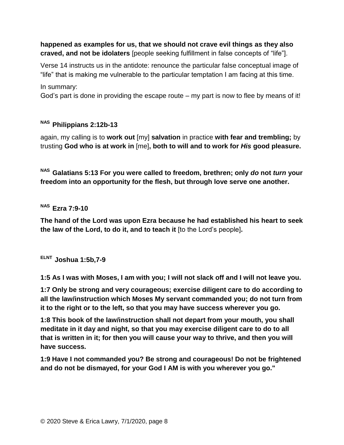#### **happened as examples for us, that we should not crave evil things as they also craved, and not be idolaters** [people seeking fulfillment in false concepts of "life"].

Verse 14 instructs us in the antidote: renounce the particular false conceptual image of "life" that is making me vulnerable to the particular temptation I am facing at this time.

In summary:

God's part is done in providing the escape route – my part is now to flee by means of it!

### **NAS Philippians 2:12b-13**

again, my calling is to **work out** [my] **salvation** in practice **with fear and trembling;** by trusting **God who is at work in** [me]**, both to will and to work for** *His* **good pleasure.** 

**NAS Galatians 5:13 For you were called to freedom, brethren; only** *do* **not** *turn* **your freedom into an opportunity for the flesh, but through love serve one another.**

**NAS Ezra 7:9-10**

**The hand of the Lord was upon Ezra because he had established his heart to seek the law of the Lord, to do it, and to teach it** [to the Lord's people]**.**

**ELNT Joshua 1:5b,7-9**

**1:5 As I was with Moses, I am with you; I will not slack off and I will not leave you.** 

**1:7 Only be strong and very courageous; exercise diligent care to do according to all the law/instruction which Moses My servant commanded you; do not turn from it to the right or to the left, so that you may have success wherever you go.** 

**1:8 This book of the law/instruction shall not depart from your mouth, you shall meditate in it day and night, so that you may exercise diligent care to do to all that is written in it; for then you will cause your way to thrive, and then you will have success.** 

**1:9 Have I not commanded you? Be strong and courageous! Do not be frightened and do not be dismayed, for your God I AM is with you wherever you go."**